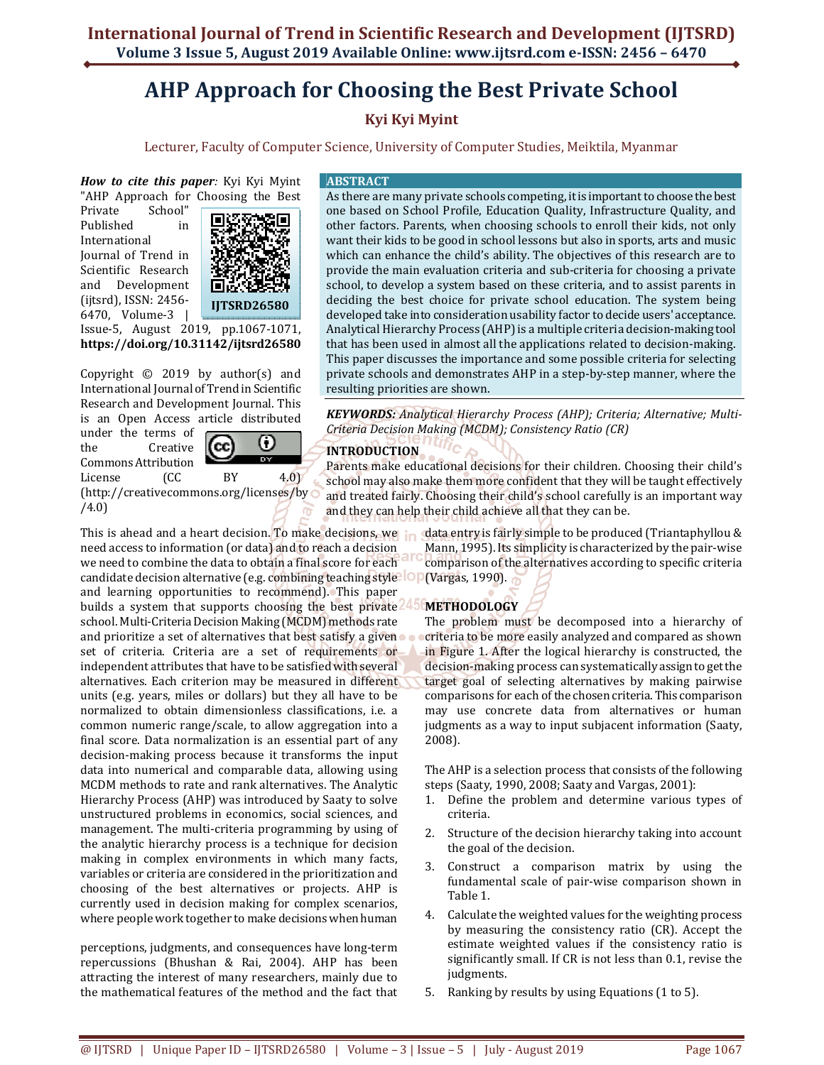# **AHP Approach for Choosing the Best Private School**

# **Kyi Kyi Myint**

Lecturer, Faculty of Computer Science, University of Computer Studies, Meiktila, Myanmar

*How to cite this paper:* Kyi Kyi Myint "AHP Approach for Choosing the Best

Private School" Published in International Journal of Trend in Scientific Research and Development (ijtsrd), ISSN: 2456- 6470, Volume-3 |



Issue-5, August 2019, pp.1067-1071, **https://doi.org/10.31142/ijtsrd26580**

Copyright  $\odot$  2019 by author(s) and International Journal of Trend in Scientific Research and Development Journal. This is an Open Access article distributed

under the terms of the Creative Commons Attribution

ω ſcc

License (CC BY 4.0) (http://creativecommons.org/licenses/by /4.0)

need access to information (or data) and to reach a decision we need to combine the data to obtain a final score for each candidate decision alternative (e.g. combining teaching style lop and learning opportunities to recommend). This paper builds a system that supports choosing the best private school. Multi-Criteria Decision Making (MCDM) methods rate and prioritize a set of alternatives that best satisfy a given set of criteria. Criteria are a set of requirements or independent attributes that have to be satisfied with several alternatives. Each criterion may be measured in different units (e.g. years, miles or dollars) but they all have to be normalized to obtain dimensionless classifications, i.e. a common numeric range/scale, to allow aggregation into a final score. Data normalization is an essential part of any decision-making process because it transforms the input data into numerical and comparable data, allowing using MCDM methods to rate and rank alternatives. The Analytic Hierarchy Process (AHP) was introduced by Saaty to solve unstructured problems in economics, social sciences, and management. The multi-criteria programming by using of the analytic hierarchy process is a technique for decision making in complex environments in which many facts, variables or criteria are considered in the prioritization and choosing of the best alternatives or projects. AHP is currently used in decision making for complex scenarios, where people work together to make decisions when human

perceptions, judgments, and consequences have long-term repercussions (Bhushan & Rai, 2004). AHP has been attracting the interest of many researchers, mainly due to the mathematical features of the method and the fact that

#### **ABSTRACT**

As there are many private schools competing, it is important to choose the best one based on School Profile, Education Quality, Infrastructure Quality, and other factors. Parents, when choosing schools to enroll their kids, not only want their kids to be good in school lessons but also in sports, arts and music which can enhance the child's ability. The objectives of this research are to provide the main evaluation criteria and sub-criteria for choosing a private school, to develop a system based on these criteria, and to assist parents in deciding the best choice for private school education. The system being developed take into consideration usability factor to decide users' acceptance. Analytical Hierarchy Process (AHP) is a multiple criteria decision-making tool that has been used in almost all the applications related to decision-making. This paper discusses the importance and some possible criteria for selecting private schools and demonstrates AHP in a step-by-step manner, where the resulting priorities are shown.

*KEYWORDS: Analytical Hierarchy Process (AHP); Criteria; Alternative; Multi-Criteria Decision Making (MCDM); Consistency Ratio (CR)* 

# **INTRODUCTION**

Parents make educational decisions for their children. Choosing their child's school may also make them more confident that they will be taught effectively and treated fairly. Choosing their child's school carefully is an important way and they can help their child achieve all that they can be.

This is ahead and a heart decision. To make decisions, we in data entry is fairly simple to be produced (Triantaphyllou & Mann, 1995). Its simplicity is characterized by the pair-wise comparison of the alternatives according to specific criteria (Vargas, 1990).

# **METHODOLOGY**

The problem must be decomposed into a hierarchy of criteria to be more easily analyzed and compared as shown in Figure 1. After the logical hierarchy is constructed, the decision-making process can systematically assign to get the target goal of selecting alternatives by making pairwise comparisons for each of the chosen criteria. This comparison may use concrete data from alternatives or human judgments as a way to input subjacent information (Saaty, 2008).

The AHP is a selection process that consists of the following steps (Saaty, 1990, 2008; Saaty and Vargas, 2001):

- 1. Define the problem and determine various types of criteria.
- 2. Structure of the decision hierarchy taking into account the goal of the decision.
- 3. Construct a comparison matrix by using the fundamental scale of pair-wise comparison shown in Table 1.
- 4. Calculate the weighted values for the weighting process by measuring the consistency ratio (CR). Accept the estimate weighted values if the consistency ratio is significantly small. If CR is not less than 0.1, revise the judgments.
- 5. Ranking by results by using Equations (1 to 5).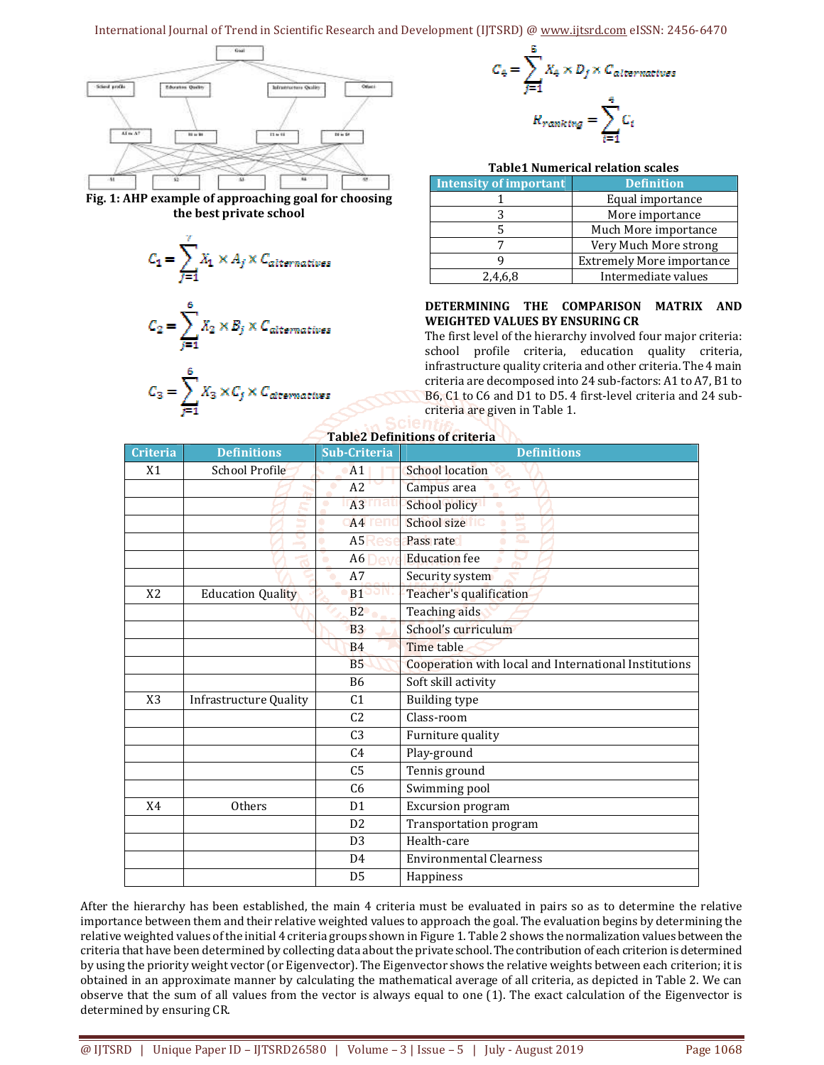## International Journal of Trend in Scientific Research and Development (IJTSRD) @ www.ijtsrd.com eISSN: 2456-6470



**Fig. 1: AHP example of approaching goal for choosing the best private school** 

$$
C_1 = \sum_{j=1}^r X_1 \times A_j \times C_{alternatives}
$$

$$
C_2 = \sum_{j=1}^{6} X_2 \times B_j \times C_{alternatives}
$$

$$
C_3 = \sum_{j=1}^{6} X_3 \times C_j \times C_{alternatives}
$$



#### **Table1 Numerical relation scales**

| <b>Intensity of important</b> | <b>Definition</b>                |
|-------------------------------|----------------------------------|
|                               | Equal importance                 |
|                               | More importance                  |
|                               | Much More importance             |
|                               | Very Much More strong            |
|                               | <b>Extremely More importance</b> |
| 2,4,6,8                       | Intermediate values              |

#### **DETERMINING THE COMPARISON MATRIX AND WEIGHTED VALUES BY ENSURING CR**

The first level of the hierarchy involved four major criteria: school profile criteria, education quality criteria, infrastructure quality criteria and other criteria. The 4 main criteria are decomposed into 24 sub-factors: A1 to A7, B1 to B6, C1 to C6 and D1 to D5. 4 first-level criteria and 24 subcriteria are given in Table 1.

| <b>Criteria</b> | <b>Definitions</b>            | Sub-Criteria        | <b>Definitions</b>                                                    |
|-----------------|-------------------------------|---------------------|-----------------------------------------------------------------------|
| X <sub>1</sub>  | <b>School Profile</b>         | A <sub>1</sub>      | School location                                                       |
|                 |                               | A2                  | Campus area                                                           |
|                 |                               | A3                  | School policy                                                         |
|                 |                               | A <sub>4</sub><br>۰ | School size<br>š<br>$\begin{array}{c} \bullet \\ \bullet \end{array}$ |
|                 |                               | A <sub>5</sub>      | Pass rate<br>o.<br>۰                                                  |
|                 |                               | A6<br>$\bullet$     | <b>Education</b> fee                                                  |
|                 |                               | A7                  | Security system                                                       |
| X <sub>2</sub>  | <b>Education Quality</b>      | B <sub>1</sub>      | Teacher's qualification                                               |
|                 |                               | B2                  | Teaching aids                                                         |
|                 |                               | <b>B3</b>           | School's curriculum                                                   |
|                 |                               | <b>B4</b>           | Time table                                                            |
|                 |                               | <b>B5</b>           | Cooperation with local and International Institutions                 |
|                 |                               | <b>B6</b>           | Soft skill activity                                                   |
| X <sub>3</sub>  | <b>Infrastructure Quality</b> | C <sub>1</sub>      | <b>Building type</b>                                                  |
|                 |                               | C <sub>2</sub>      | Class-room                                                            |
|                 |                               | C <sub>3</sub>      | Furniture quality                                                     |
|                 |                               | C <sub>4</sub>      | Play-ground                                                           |
|                 |                               | C <sub>5</sub>      | Tennis ground                                                         |
|                 |                               | C <sub>6</sub>      | Swimming pool                                                         |
| X <sub>4</sub>  | Others                        | D <sub>1</sub>      | Excursion program                                                     |
|                 |                               | D <sub>2</sub>      | Transportation program                                                |
|                 |                               | D <sub>3</sub>      | Health-care                                                           |
|                 |                               | D <sub>4</sub>      | <b>Environmental Clearness</b>                                        |
|                 |                               | D <sub>5</sub>      | Happiness                                                             |

After the hierarchy has been established, the main 4 criteria must be evaluated in pairs so as to determine the relative importance between them and their relative weighted values to approach the goal. The evaluation begins by determining the relative weighted values of the initial 4 criteria groups shown in Figure 1. Table 2 shows the normalization values between the criteria that have been determined by collecting data about the private school. The contribution of each criterion is determined by using the priority weight vector (or Eigenvector). The Eigenvector shows the relative weights between each criterion; it is obtained in an approximate manner by calculating the mathematical average of all criteria, as depicted in Table 2. We can observe that the sum of all values from the vector is always equal to one (1). The exact calculation of the Eigenvector is determined by ensuring CR.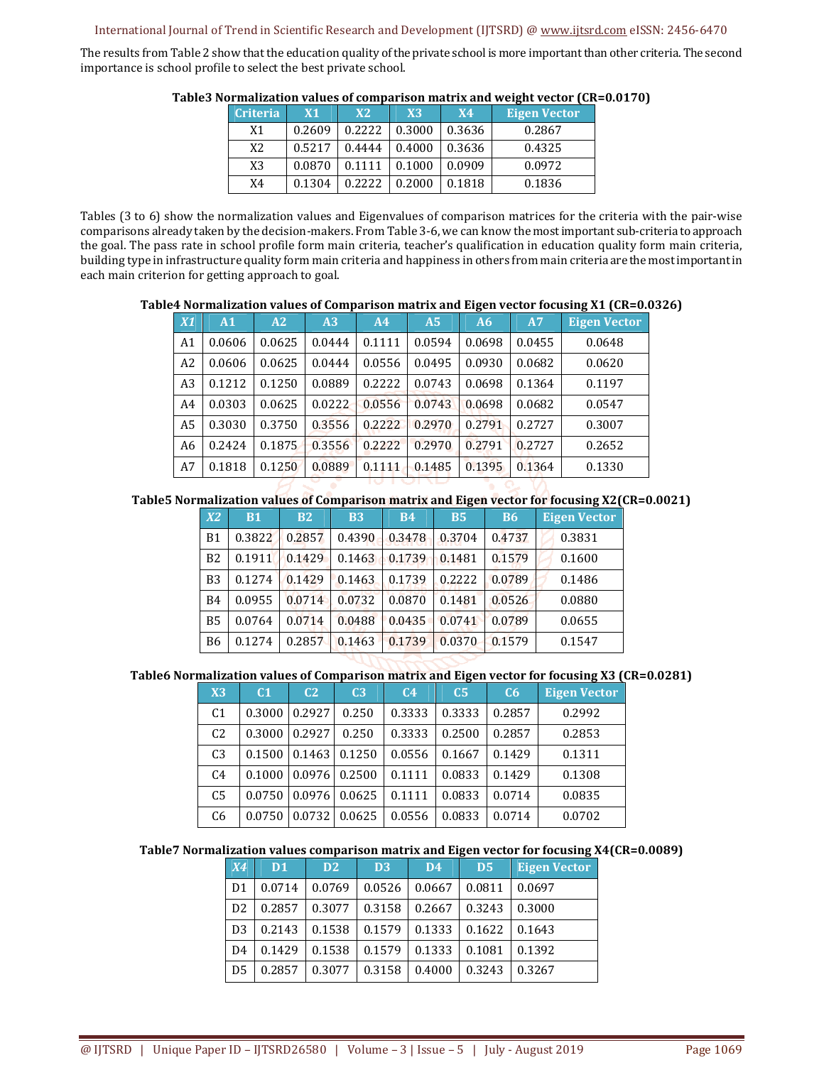#### International Journal of Trend in Scientific Research and Development (IJTSRD) @ www.ijtsrd.com eISSN: 2456-6470

The results from Table 2 show that the education quality of the private school is more important than other criteria. The second importance is school profile to select the best private school.

| ликипанстон таласо от сонграндон паснилами п служетског том |           |        |        |           |                     |  |  |  |  |
|-------------------------------------------------------------|-----------|--------|--------|-----------|---------------------|--|--|--|--|
| <b>Criteria</b>                                             | <b>X1</b> | X2     | X3     | <b>X4</b> | <b>Eigen Vector</b> |  |  |  |  |
| X1                                                          | 0.2609    | 0.2222 | 0.3000 | 0.3636    | 0.2867              |  |  |  |  |
| X2                                                          | 0.5217    | 0.4444 | 0.4000 | 0.3636    | 0.4325              |  |  |  |  |
| X3                                                          | 0.0870    | 0.1111 | 0.1000 | 0.0909    | 0.0972              |  |  |  |  |
| X4                                                          | 0.1304    | 0.2222 | 0.2000 | 0.1818    | 0.1836              |  |  |  |  |

#### **Table3 Normalization values of comparison matrix and weight vector (CR=0.0170)**

Tables (3 to 6) show the normalization values and Eigenvalues of comparison matrices for the criteria with the pair-wise comparisons already taken by the decision-makers. From Table 3-6, we can know the most important sub-criteria to approach the goal. The pass rate in school profile form main criteria, teacher's qualification in education quality form main criteria, building type in infrastructure quality form main criteria and happiness in others from main criteria are the most important in each main criterion for getting approach to goal.

#### **Table4 Normalization values of Comparison matrix and Eigen vector focusing X1 (CR=0.0326)**

| X1             | A <sub>1</sub> | A2     | A3     | A4     | A <sub>5</sub> | A6     | A7     | <b>Eigen Vector</b> |
|----------------|----------------|--------|--------|--------|----------------|--------|--------|---------------------|
| A <sub>1</sub> | 0.0606         | 0.0625 | 0.0444 | 0.1111 | 0.0594         | 0.0698 | 0.0455 | 0.0648              |
| A2             | 0.0606         | 0.0625 | 0.0444 | 0.0556 | 0.0495         | 0.0930 | 0.0682 | 0.0620              |
| A <sub>3</sub> | 0.1212         | 0.1250 | 0.0889 | 0.2222 | 0.0743         | 0.0698 | 0.1364 | 0.1197              |
| A <sub>4</sub> | 0.0303         | 0.0625 | 0.0222 | 0.0556 | 0.0743         | 0.0698 | 0.0682 | 0.0547              |
| A <sub>5</sub> | 0.3030         | 0.3750 | 0.3556 | 0.2222 | 0.2970         | 0.2791 | 0.2727 | 0.3007              |
| A6             | 0.2424         | 0.1875 | 0.3556 | 0.2222 | 0.2970         | 0.2791 | 0.2727 | 0.2652              |
| A7             | 0.1818         | 0.1250 | 0.0889 | 0.1111 | 0.1485         | 0.1395 | 0.1364 | 0.1330              |

#### **Table5 Normalization values of Comparison matrix and Eigen vector for focusing X2(CR=0.0021)**

| X2             | <b>B1</b> | B2     | <b>B3</b> | <b>B4</b> | <b>B5</b> | <b>B6</b> | <b>Eigen Vector</b> |
|----------------|-----------|--------|-----------|-----------|-----------|-----------|---------------------|
| B <sub>1</sub> | 0.3822    | 0.2857 | 0.4390    | 0.3478    | 0.3704    | 0.4737    | 0.3831              |
| B <sub>2</sub> | 0.1911    | 0.1429 | 0.1463    | 0.1739    | 0.1481    | 0.1579    | 0.1600              |
| B <sub>3</sub> | 0.1274    | 0.1429 | 0.1463    | 0.1739    | 0.2222    | 0.0789    | 0.1486              |
| B4             | 0.0955    | 0.0714 | 0.0732    | 0.0870    | 0.1481    | 0.0526    | 0.0880              |
| <b>B5</b>      | 0.0764    | 0.0714 | 0.0488    | 0.0435    | 0.0741    | 0.0789    | 0.0655              |
| B6             | 0.1274    | 0.2857 | 0.1463    | 0.1739    | 0.0370    | 0.1579    | 0.1547              |

#### **Table6 Normalization values of Comparison matrix and Eigen vector for focusing X3 (CR=0.0281)**

| X3             | C <sub>1</sub> | C <sub>2</sub> | C <sub>3</sub> | C <sub>4</sub> | C <sub>5</sub> | C6.    | <b>Eigen Vector</b> |
|----------------|----------------|----------------|----------------|----------------|----------------|--------|---------------------|
| C <sub>1</sub> | 0.3000         | 0.2927         | 0.250          | 0.3333         | 0.3333         | 0.2857 | 0.2992              |
| C <sub>2</sub> | 0.3000         | 0.2927         | 0.250          | 0.3333         | 0.2500         | 0.2857 | 0.2853              |
| C <sub>3</sub> | 0.1500         | 0.1463         | 0.1250         | 0.0556         | 0.1667         | 0.1429 | 0.1311              |
| C <sub>4</sub> | 0.1000         | 0.0976         | 0.2500         | 0.1111         | 0.0833         | 0.1429 | 0.1308              |
| C <sub>5</sub> | 0.0750         | 0.0976         | 0.0625         | 0.1111         | 0.0833         | 0.0714 | 0.0835              |
| C <sub>6</sub> | 0.0750         | 0.0732         | 0.0625         | 0.0556         | 0.0833         | 0.0714 | 0.0702              |

## **Table7 Normalization values comparison matrix and Eigen vector for focusing X4(CR=0.0089)**

| <b>X4</b>      | D <sub>1</sub> | D <sub>2</sub> | D <sub>3</sub> | D <sub>4</sub> | D <sub>5</sub> | <b>Eigen Vector</b> |
|----------------|----------------|----------------|----------------|----------------|----------------|---------------------|
| D <sub>1</sub> | 0.0714         | 0.0769         | 0.0526         | 0.0667         | 0.0811         | 0.0697              |
| D <sub>2</sub> | 0.2857         | 0.3077         | 0.3158         | 0.2667         | 0.3243         | 0.3000              |
| D <sub>3</sub> | 0.2143         | 0.1538         | 0.1579         | 0.1333         | 0.1622         | 0.1643              |
| D <sub>4</sub> | 0.1429         | 0.1538         | 0.1579         | 0.1333         | 0.1081         | 0.1392              |
| D <sub>5</sub> | 0.2857         | 0.3077         | 0.3158         | 0.4000         | 0.3243         | 0.3267              |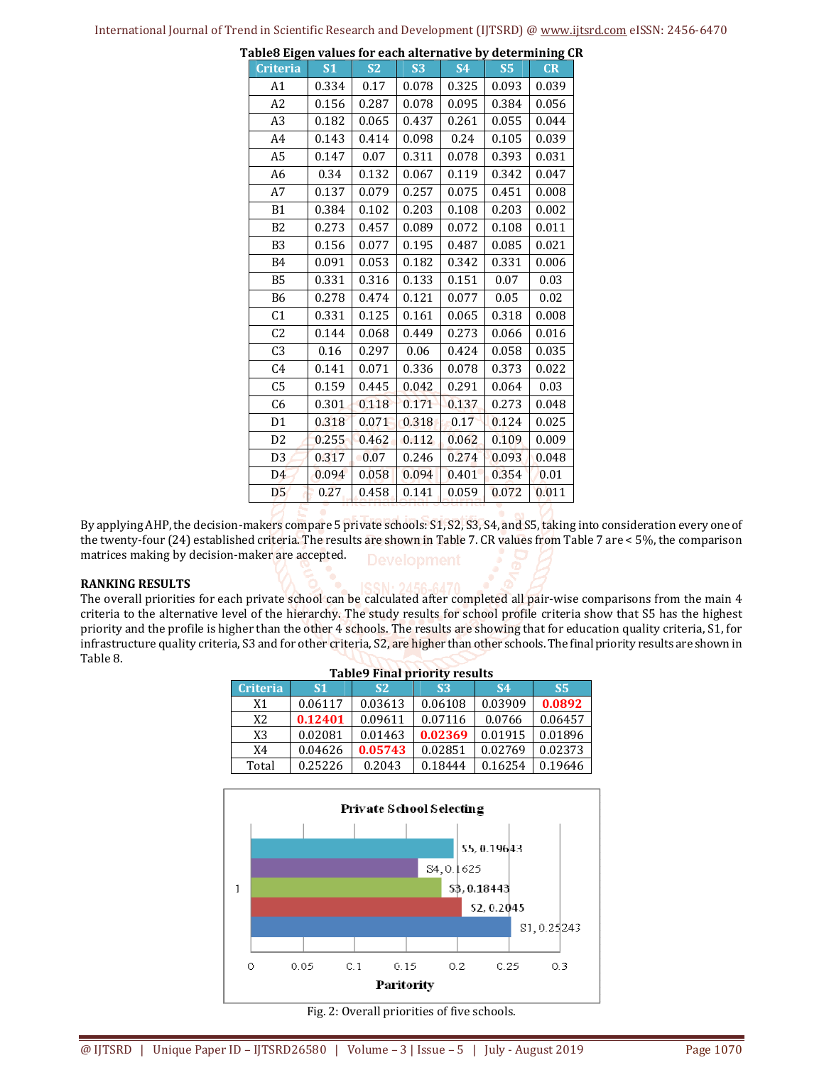| <b>Criteria</b> | S <sub>1</sub> | <b>S2</b> | <b>S3</b> | <b>S4</b> | <b>S5</b> | CR    |
|-----------------|----------------|-----------|-----------|-----------|-----------|-------|
| A1              | 0.334          | 0.17      | 0.078     | 0.325     | 0.093     | 0.039 |
| A2              | 0.156          | 0.287     | 0.078     | 0.095     | 0.384     | 0.056 |
| A <sub>3</sub>  | 0.182          | 0.065     | 0.437     | 0.261     | 0.055     | 0.044 |
| A4              | 0.143          | 0.414     | 0.098     | 0.24      | 0.105     | 0.039 |
| A5              | 0.147          | 0.07      | 0.311     | 0.078     | 0.393     | 0.031 |
| A6              | 0.34           | 0.132     | 0.067     | 0.119     | 0.342     | 0.047 |
| A7              | 0.137          | 0.079     | 0.257     | 0.075     | 0.451     | 0.008 |
| <b>B1</b>       | 0.384          | 0.102     | 0.203     | 0.108     | 0.203     | 0.002 |
| B <sub>2</sub>  | 0.273          | 0.457     | 0.089     | 0.072     | 0.108     | 0.011 |
| B <sub>3</sub>  | 0.156          | 0.077     | 0.195     | 0.487     | 0.085     | 0.021 |
| B4              | 0.091          | 0.053     | 0.182     | 0.342     | 0.331     | 0.006 |
| <b>B5</b>       | 0.331          | 0.316     | 0.133     | 0.151     | 0.07      | 0.03  |
| <b>B6</b>       | 0.278          | 0.474     | 0.121     | 0.077     | 0.05      | 0.02  |
| C <sub>1</sub>  | 0.331          | 0.125     | 0.161     | 0.065     | 0.318     | 0.008 |
| C <sub>2</sub>  | 0.144          | 0.068     | 0.449     | 0.273     | 0.066     | 0.016 |
| C3              | 0.16           | 0.297     | 0.06      | 0.424     | 0.058     | 0.035 |
| C <sub>4</sub>  | 0.141          | 0.071     | 0.336     | 0.078     | 0.373     | 0.022 |
| C5              | 0.159          | 0.445     | 0.042     | 0.291     | 0.064     | 0.03  |
| C <sub>6</sub>  | 0.301          | 0.118     | 0.171     | 0.137     | 0.273     | 0.048 |
| D <sub>1</sub>  | 0.318          | 0.071     | 0.318     | 0.17      | 0.124     | 0.025 |
| D <sub>2</sub>  | 0.255          | 0.462     | 0.112     | 0.062     | 0.109     | 0.009 |
| D <sub>3</sub>  | 0.317          | 0.07      | 0.246     | 0.274     | 0.093     | 0.048 |
| D <sub>4</sub>  | 0.094          | 0.058     | 0.094     | 0.401     | 0.354     | 0.01  |
| D <sub>5</sub>  | 0.27           | 0.458     | 0.141     | 0.059     | 0.072     | 0.011 |

**Table8 Eigen values for each alternative by determining CR** 

By applying AHP, the decision-makers compare 5 private schools: S1, S2, S3, S4, and S5, taking into consideration every one of the twenty-four (24) established criteria. The results are shown in Table 7. CR values from Table 7 are < 5%, the comparison matrices making by decision-maker are accepted. **Development** 

#### **RANKING RESULTS**

The overall priorities for each private school can be calculated after completed all pair-wise comparisons from the main 4 criteria to the alternative level of the hierarchy. The study results for school profile criteria show that S5 has the highest priority and the profile is higher than the other 4 schools. The results are showing that for education quality criteria, S1, for infrastructure quality criteria, S3 and for other criteria, S2, are higher than other schools. The final priority results are shown in Table 8.

| <b>Table9 Final priority results</b> |           |           |                |           |           |  |  |  |  |
|--------------------------------------|-----------|-----------|----------------|-----------|-----------|--|--|--|--|
| <b>Criteria</b>                      | <b>S1</b> | <b>S2</b> | S <sub>3</sub> | <b>S4</b> | <b>S5</b> |  |  |  |  |
| X1                                   | 0.06117   | 0.03613   | 0.06108        | 0.03909   | 0.0892    |  |  |  |  |
| X <sub>2</sub>                       | 0.12401   | 0.09611   | 0.07116        | 0.0766    | 0.06457   |  |  |  |  |
| X3                                   | 0.02081   | 0.01463   | 0.02369        | 0.01915   | 0.01896   |  |  |  |  |
| X4                                   | 0.04626   | 0.05743   | 0.02851        | 0.02769   | 0.02373   |  |  |  |  |
| Total                                | 0.25226   | 0.2043    | 0.18444        | 0.16254   | 0.19646   |  |  |  |  |



Fig. 2: Overall priorities of five schools.